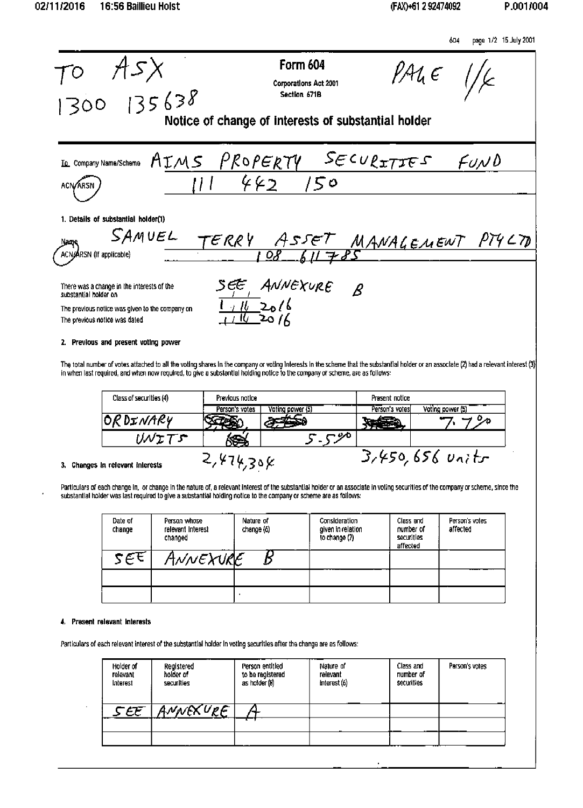604 page 1/2 15 July 2001



The total number of votes attached to all the voting shares in the company or voting interests in the scheme that the substantial holder or an associate (2) had a relevant interest (3) in when last required, and when now required, to give a substantial holding notice to the company or scheme, are as follows:

| Class of securities (4) | Previous notice |                  | Present notice |                   |
|-------------------------|-----------------|------------------|----------------|-------------------|
|                         | Person's votes  | Voting power (5) | Person's votes | Voting power (5)  |
| OR DINARY               |                 |                  |                |                   |
| リルェエニ                   |                 | $- 90$           |                |                   |
| . In colounnt intornete |                 |                  |                | $3,450,656$ units |

#### 3. Changes In relevant interests

 $4,474,308$ 

Particulars of each change in, or change in the nature of, a relevant interest of the substantial holder or an associate in voting securities of the company or scheme, since the substantial holder was last required to give a substantial holding notice to the company or scheme are as follows:

| Date of<br>change | Person whose<br>relevant Interest<br>changed | Nature of<br>change (6) | <b>Consideration</b><br>given in relation<br>to change (7) | Class and<br>number of<br>securities<br>affected | Person's votes<br>affected |
|-------------------|----------------------------------------------|-------------------------|------------------------------------------------------------|--------------------------------------------------|----------------------------|
| 232               | ANNEXURE                                     |                         |                                                            |                                                  |                            |
|                   |                                              |                         |                                                            |                                                  |                            |
|                   |                                              |                         |                                                            |                                                  |                            |

#### 4. Present relevant Interests

Particulars of each relevant interest of the substantial holder in voting securities after the change are as follows:

| Holder of<br>relevant<br>Interest | Registered<br>holder of<br>securities | Person entitled<br>to be registered<br>as holder (8) | Nature of<br>relevant<br>interest(6) | Class and<br>number of<br>securities | Person's votes |
|-----------------------------------|---------------------------------------|------------------------------------------------------|--------------------------------------|--------------------------------------|----------------|
| see                               | ANNEXUPE                              |                                                      |                                      |                                      |                |
|                                   |                                       |                                                      |                                      |                                      |                |
|                                   |                                       |                                                      |                                      |                                      |                |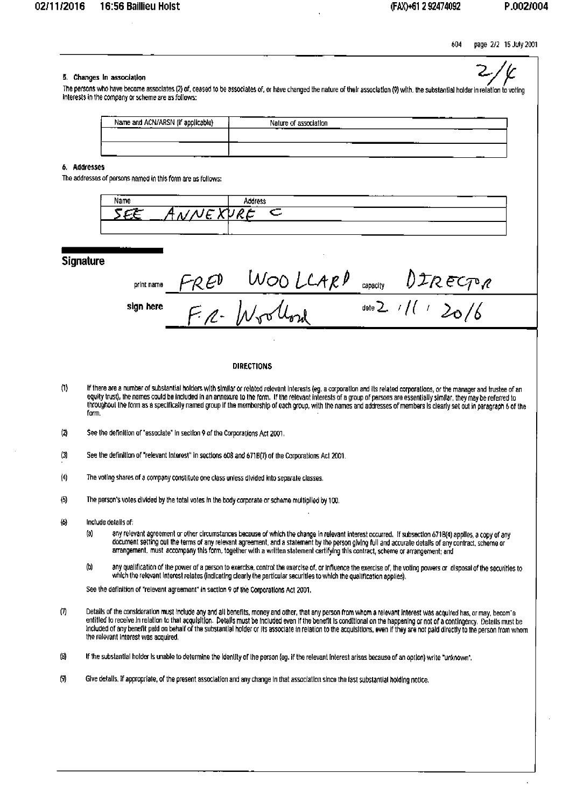page 2/2 15 July 2001 604

## 5. Changes In association

The persons who have become associates (2) of, ceased to be associates of, or have changed the nature of their association (9) with, the substantial holder in relation to voting interests in the company or scheme are as follows:

| ----<br>Name and ACN/ARSN (if applicable) | $\cdot$ $ -$<br>Nature of association |  |
|-------------------------------------------|---------------------------------------|--|
|                                           |                                       |  |
|                                           |                                       |  |

## 6. Addresses

The addresses of persons named in this form are as follows:

| ---<br>Name | Andraec   | .<br>---- |
|-------------|-----------|-----------|
| . .         | $\subset$ |           |
|             | .         | $\sim$    |

### Signature

|           | print name $F_{R}E_{P}$ | WOOLLARD capacity DIRECTOR |                     |
|-----------|-------------------------|----------------------------|---------------------|
| sign here |                         | F.R. Wrothour              | date 2 //( / $20/6$ |

#### **DIRECTIONS**

- If there are a number of substantial holders with similar or related relevant interests (eg. a corporation and its related corporations, or the manager and trustee of an  $(1)$ equity trust), the names could be included in an annexure to the form. If the relevant interests of a group of parsons are essentially similar, they may be referred to<br>throughout the form as a specifically named group if t form.
- $\omega$ See the definition of "associate" In section 9 of the Corporations Act 2001.
- $(3)$ See the definition of "relevant Interest" in sections 608 and 671B(7) of the Corporations Act 2001.
- $(4)$ The voting shares of a company constitute one class unless divided into separate classes.
- $\boldsymbol{\Theta}$ The person's votes divided by the total votes in the body corporate or schame multiplied by 100.
- $\omega$ Include details of:
	- any relevant agreement or other circumstances because of which the change in relevant interest occurred. If subsection 671B(4) applies, a copy of any (a) document setting oul the terms of any relevant agreement, and a statement by the person giving full and accurate details of any contract, scheme or arrangement, must accompany this form, together with a written statement c
	- any qualification of the power of a person to exercise, control the exercise of, or influence the exercise of, the voting powers or disposal of the securities to which the relevant interest relates (indicating clearly the  $<sup>(n)</sup>$ </sup>

See the definition of "relevant agreement" in section 9 of the Corporations Act 2001.

- $\sigma$ Details of the consideration must include any and all benefits, money and other, that any person from whom a relevant interest was acquired has, or may, becom a entitled to receive in relation to that acquisition. Details must be included even if the benefit is conditional on the happening or not of a contingency. Details must be included of any benefit paid on behalf of the substantial holder or its associate in relation to the acquisitions, even if they are not paid directly to the person from whom the relevant interest was acquired.
- $(3)$ If the substantial holder is unable to determine the identity of the person (eg. if the relevant Interest arisas because of an option) write "unknown".
- $\langle 9 \rangle$ Give details, if appropriate, of the present association and any change in that association since the last substantial holding notice.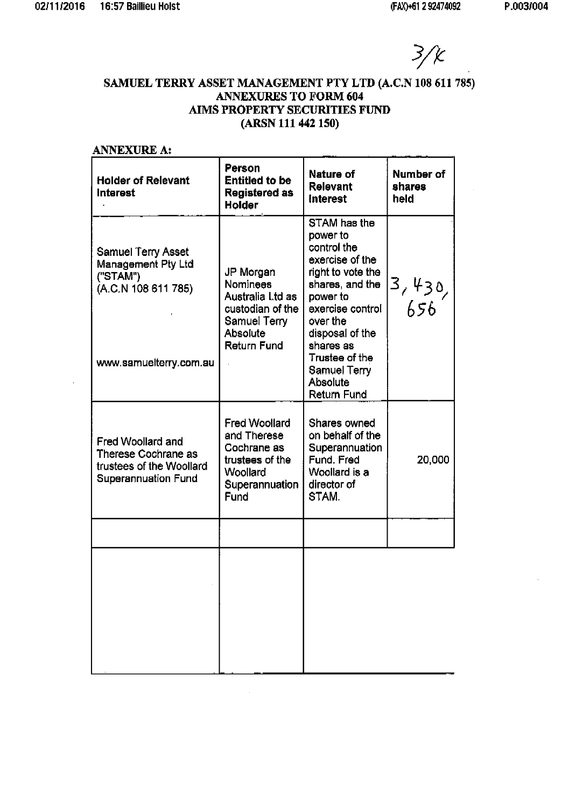$\bar{A}$ 

 $3/k$ 

# SAMUEL TERRY ASSET MANAGEMENT PTY LTD (A.C.N 108 611 785) **ANNEXURES TO FORM 604** AIMS PROPERTY SECURITIES FUND (ARSN 111 442 150)

| <b>ANNEXURE A:</b>                                                                                           |                                                                                                                        |                                                                                                                                                                                                                                     |                             |
|--------------------------------------------------------------------------------------------------------------|------------------------------------------------------------------------------------------------------------------------|-------------------------------------------------------------------------------------------------------------------------------------------------------------------------------------------------------------------------------------|-----------------------------|
| <b>Holder of Relevant</b><br><b>Interest</b>                                                                 | Person<br><b>Entitled to be</b><br><b>Registered as</b><br><b>Holder</b>                                               | Nature of<br>Relevant<br><b>Interest</b>                                                                                                                                                                                            | Number of<br>shares<br>held |
| Samuel Terry Asset<br><b>Management Pty Ltd</b><br>("STAM")<br>(A.C.N 108 611 785)<br>www.samuelterry.com.au | JP Morgan<br><b>Nominees</b><br>Australia Ltd as<br>custodian of the<br><b>Samuel Terry</b><br>Absolute<br>Return Fund | STAM has the<br>power to<br>control the<br>exercise of the<br>right to vote the<br>shares, and the<br>power to<br>exercise control<br>over the<br>disposal of the<br>shares as<br>Trustee of the<br><b>Samuel Terry</b><br>Absolute | 3, 430,<br>  656            |
| Fred Woollard and<br>Therese Cochrane as<br>trustees of the Woollard<br>Superannuation Fund                  | <b>Fred Woollard</b><br>and Therese<br>Cochrane as<br>trustees of the<br>Woollard<br>Superannuation<br>Fund            | Return Fund<br>Shares owned<br>on behalf of the<br>Superannuation<br>Fund. Fred<br>Woollard is a<br>director of<br>STAM.                                                                                                            | 20,000                      |
|                                                                                                              |                                                                                                                        |                                                                                                                                                                                                                                     |                             |
|                                                                                                              |                                                                                                                        |                                                                                                                                                                                                                                     |                             |

 $\alpha$